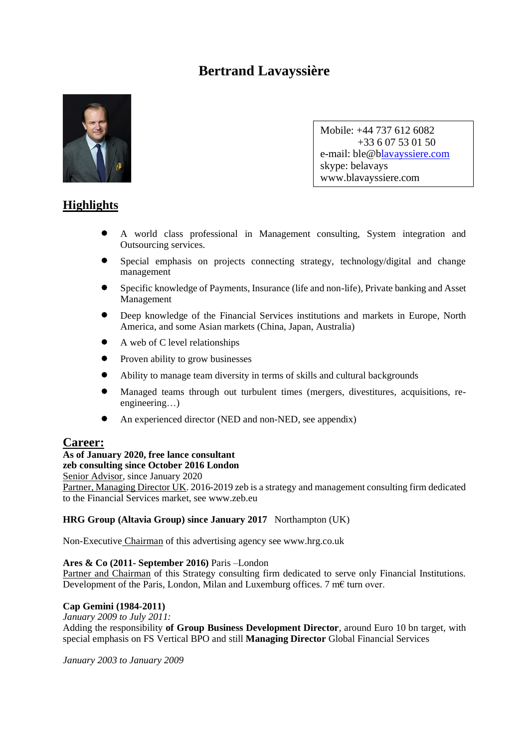# **Bertrand Lavayssière**



Mobile: +44 737 612 6082 +33 6 07 53 01 50 e-mail: ble@blavayssiere.com skype: belavays www.blavayssiere.com

# **Highlights**

- A world class professional in Management consulting, System integration and Outsourcing services.
- Special emphasis on projects connecting strategy, technology/digital and change management
- Specific knowledge of Payments, Insurance (life and non-life), Private banking and Asset Management
- Deep knowledge of the Financial Services institutions and markets in Europe, North America, and some Asian markets (China, Japan, Australia)
- A web of C level relationships
- Proven ability to grow businesses
- Ability to manage team diversity in terms of skills and cultural backgrounds
- Managed teams through out turbulent times (mergers, divestitures, acquisitions, reengineering…)
- An experienced director (NED and non-NED, see appendix)

# **Career:**

## **As of January 2020, free lance consultant**

**zeb consulting since October 2016 London**

Senior Advisor, since January 2020 Partner, Managing Director UK. 2016-2019 zeb is a strategy and management consulting firm dedicated to the Financial Services market, see www.zeb.eu

## **HRG Group (Altavia Group) since January 2017** Northampton (UK)

Non-Executive Chairman of this advertising agency see www.hrg.co.uk

#### **Ares & Co (2011- September 2016)** Paris –London

Partner and Chairman of this Strategy consulting firm dedicated to serve only Financial Institutions. Development of the Paris, London, Milan and Luxemburg offices. 7 m€ turn over.

## **Cap Gemini (1984-2011)**

*January 2009 to July 2011:*

Adding the responsibility **of Group Business Development Director**, around Euro 10 bn target, with special emphasis on FS Vertical BPO and still **Managing Director** Global Financial Services

*January 2003 to January 2009*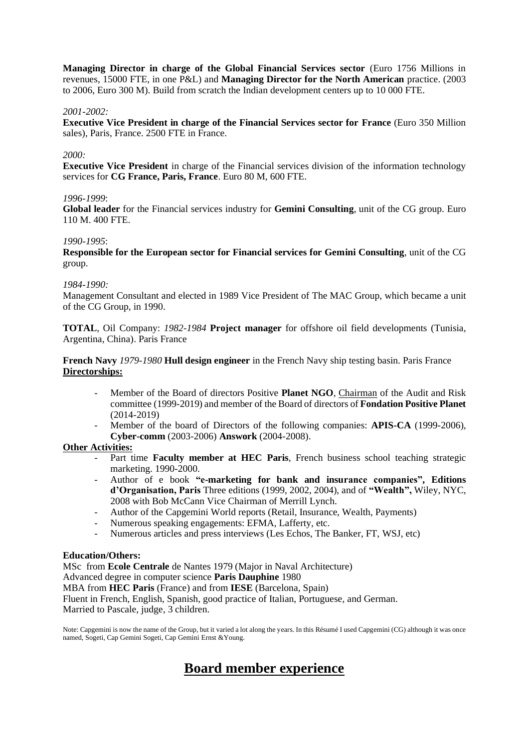**Managing Director in charge of the Global Financial Services sector** (Euro 1756 Millions in revenues, 15000 FTE, in one P&L) and **Managing Director for the North American** practice. (2003 to 2006, Euro 300 M). Build from scratch the Indian development centers up to 10 000 FTE.

#### *2001-2002:*

**Executive Vice President in charge of the Financial Services sector for France** (Euro 350 Million sales), Paris, France. 2500 FTE in France.

#### *2000:*

**Executive Vice President** in charge of the Financial services division of the information technology services for **CG France, Paris, France**. Euro 80 M, 600 FTE.

#### *1996-1999*:

**Global leader** for the Financial services industry for **Gemini Consulting**, unit of the CG group. Euro 110 M. 400 FTE.

#### *1990-1995*:

**Responsible for the European sector for Financial services for Gemini Consulting**, unit of the CG group.

#### *1984-1990:*

Management Consultant and elected in 1989 Vice President of The MAC Group, which became a unit of the CG Group, in 1990.

**TOTAL**, Oil Company: *1982-1984* **Project manager** for offshore oil field developments (Tunisia, Argentina, China). Paris France

**French Navy** *1979-1980* **Hull design engineer** in the French Navy ship testing basin. Paris France **Directorships:**

- Member of the Board of directors Positive Planet NGO, Chairman of the Audit and Risk committee (1999-2019) and member of the Board of directors of **Fondation Positive Planet**  (2014-2019)
- Member of the board of Directors of the following companies: **APIS-CA** (1999-2006), **Cyber-comm** (2003-2006) **Answork** (2004-2008).

#### **Other Activities:**

- Part time **Faculty member at HEC Paris**, French business school teaching strategic marketing. 1990-2000.
- Author of e book **"e-marketing for bank and insurance companies", Editions d'Organisation, Paris** Three editions (1999, 2002, 2004), and of **"Wealth",** Wiley, NYC, 2008 with Bob McCann Vice Chairman of Merrill Lynch.
- Author of the Capgemini World reports (Retail, Insurance, Wealth, Payments)
- Numerous speaking engagements: EFMA, Lafferty, etc.
- Numerous articles and press interviews (Les Echos, The Banker, FT, WSJ, etc)

#### **Education/Others:**

MSc from **Ecole Centrale** de Nantes 1979 (Major in Naval Architecture)

Advanced degree in computer science **Paris Dauphine** 1980

MBA from **HEC Paris** (France) and from **IESE** (Barcelona, Spain)

Fluent in French, English, Spanish, good practice of Italian, Portuguese, and German.

Married to Pascale, judge, 3 children.

Note: Capgemini is now the name of the Group, but it varied a lot along the years. In this Résumé I used Capgemini (CG) although it was once named, Sogeti, Cap Gemini Sogeti, Cap Gemini Ernst &Young.

# **Board member experience**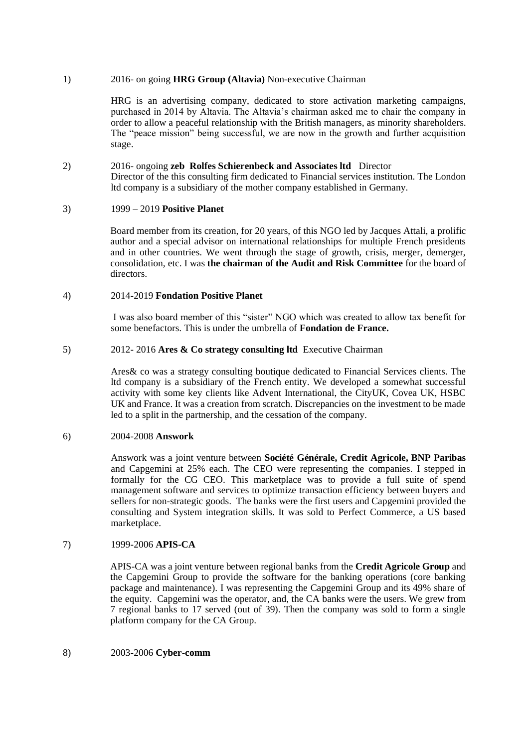#### 1) 2016- on going **HRG Group (Altavia)** Non-executive Chairman

HRG is an advertising company, dedicated to store activation marketing campaigns, purchased in 2014 by Altavia. The Altavia's chairman asked me to chair the company in order to allow a peaceful relationship with the British managers, as minority shareholders. The "peace mission" being successful, we are now in the growth and further acquisition stage.

#### 2) 2016- ongoing **zeb Rolfes Schierenbeck and Associates ltd** Director Director of the this consulting firm dedicated to Financial services institution. The London ltd company is a subsidiary of the mother company established in Germany.

#### 3) 1999 – 2019 **Positive Planet**

Board member from its creation, for 20 years, of this NGO led by Jacques Attali, a prolific author and a special advisor on international relationships for multiple French presidents and in other countries. We went through the stage of growth, crisis, merger, demerger, consolidation, etc. I was **the chairman of the Audit and Risk Committee** for the board of directors.

#### 4) 2014-2019 **Fondation Positive Planet**

I was also board member of this "sister" NGO which was created to allow tax benefit for some benefactors. This is under the umbrella of **Fondation de France.**

### 5) 2012- 2016 **Ares & Co strategy consulting ltd** Executive Chairman

Ares& co was a strategy consulting boutique dedicated to Financial Services clients. The ltd company is a subsidiary of the French entity. We developed a somewhat successful activity with some key clients like Advent International, the CityUK, Covea UK, HSBC UK and France. It was a creation from scratch. Discrepancies on the investment to be made led to a split in the partnership, and the cessation of the company.

#### 6) 2004-2008 **Answork**

Answork was a joint venture between **Société Générale, Credit Agricole, BNP Paribas** and Capgemini at 25% each. The CEO were representing the companies. I stepped in formally for the CG CEO. This marketplace was to provide a full suite of spend management software and services to optimize transaction efficiency between buyers and sellers for non-strategic goods. The banks were the first users and Capgemini provided the consulting and System integration skills. It was sold to Perfect Commerce, a US based marketplace.

#### 7) 1999-2006 **APIS-CA**

APIS-CA was a joint venture between regional banks from the **Credit Agricole Group** and the Capgemini Group to provide the software for the banking operations (core banking package and maintenance). I was representing the Capgemini Group and its 49% share of the equity. Capgemini was the operator, and, the CA banks were the users. We grew from 7 regional banks to 17 served (out of 39). Then the company was sold to form a single platform company for the CA Group.

#### 8) 2003-2006 **Cyber-comm**